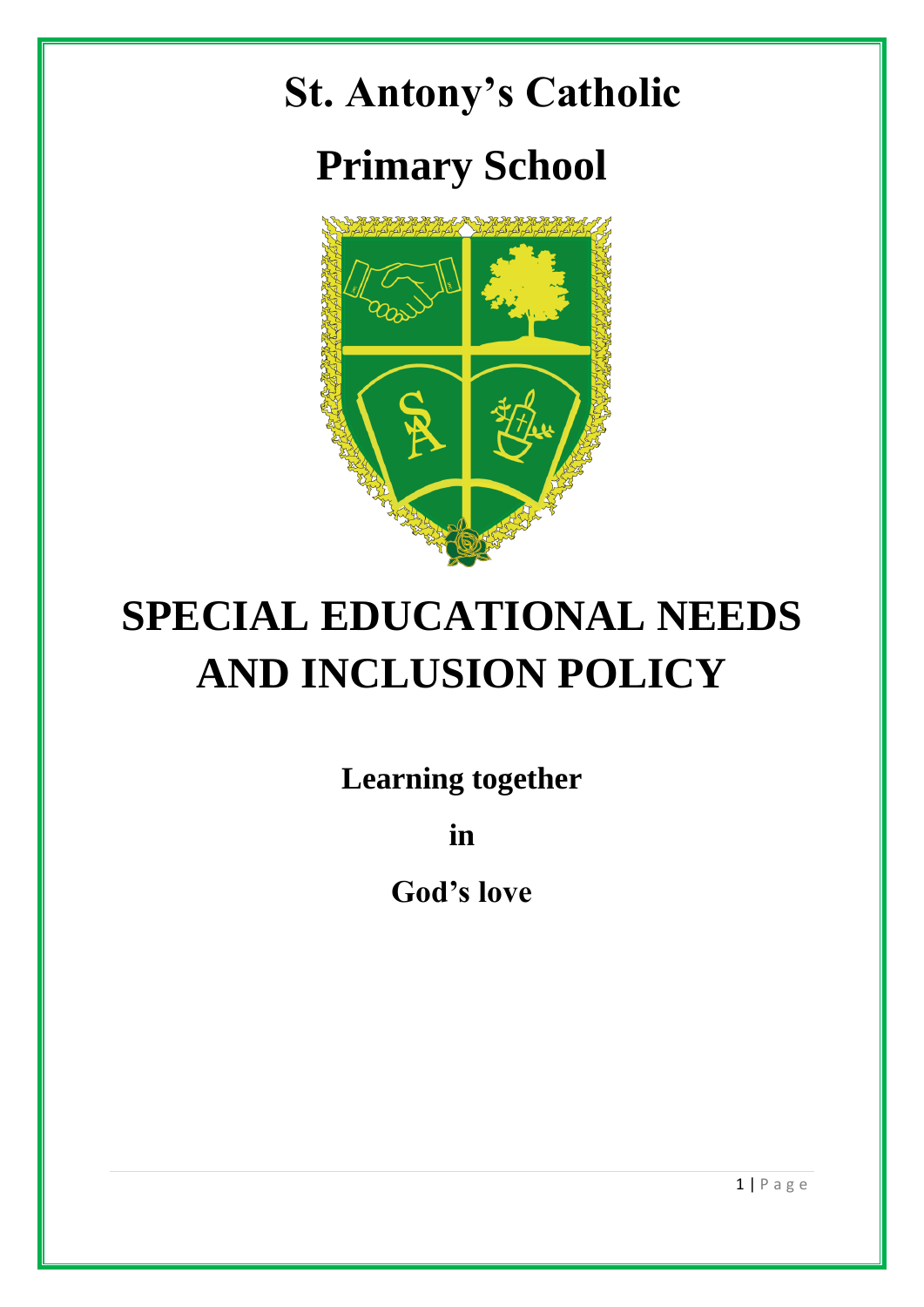



# **SPECIAL EDUCATIONAL NEEDS AND INCLUSION POLICY**

**Learning together** 

**in** 

**God's love**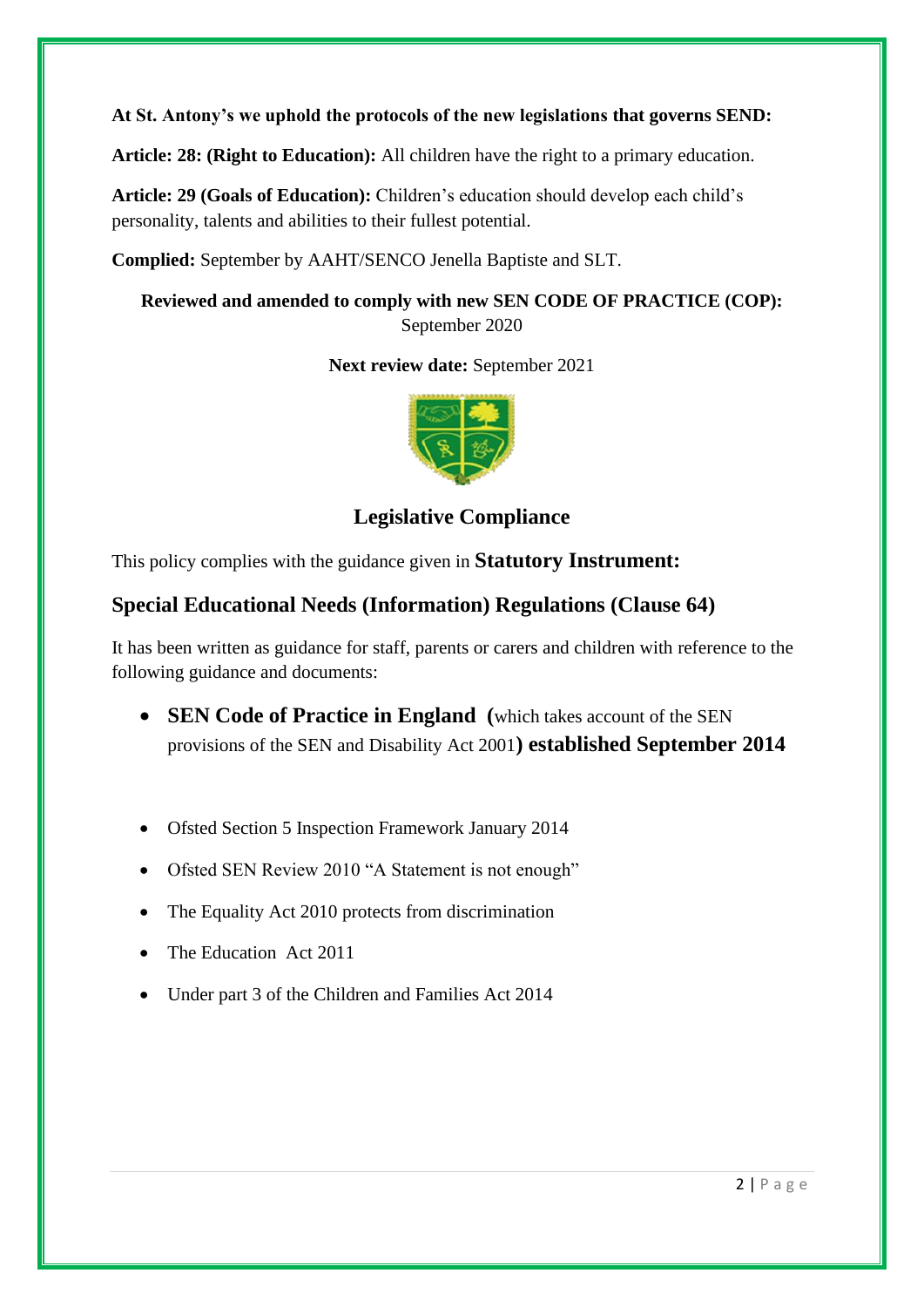**At St. Antony's we uphold the protocols of the new legislations that governs SEND:**

**Article: 28: (Right to Education):** All children have the right to a primary education.

**Article: 29 (Goals of Education):** Children's education should develop each child's personality, talents and abilities to their fullest potential.

**Complied:** September by AAHT/SENCO Jenella Baptiste and SLT.

**Reviewed and amended to comply with new SEN CODE OF PRACTICE (COP):**  September 2020

**Next review date:** September 2021



**Legislative Compliance**

This policy complies with the guidance given in **Statutory Instrument:** 

# **Special Educational Needs (Information) Regulations (Clause 64)**

It has been written as guidance for staff, parents or carers and children with reference to the following guidance and documents:

- **SEN Code of Practice in England (**which takes account of the SEN provisions of the SEN and Disability Act 2001**) established September 2014**
- Ofsted Section 5 Inspection Framework January 2014
- Ofsted SEN Review 2010 "A Statement is not enough"
- The Equality Act 2010 protects from discrimination
- The Education Act 2011
- Under part 3 of the Children and Families Act 2014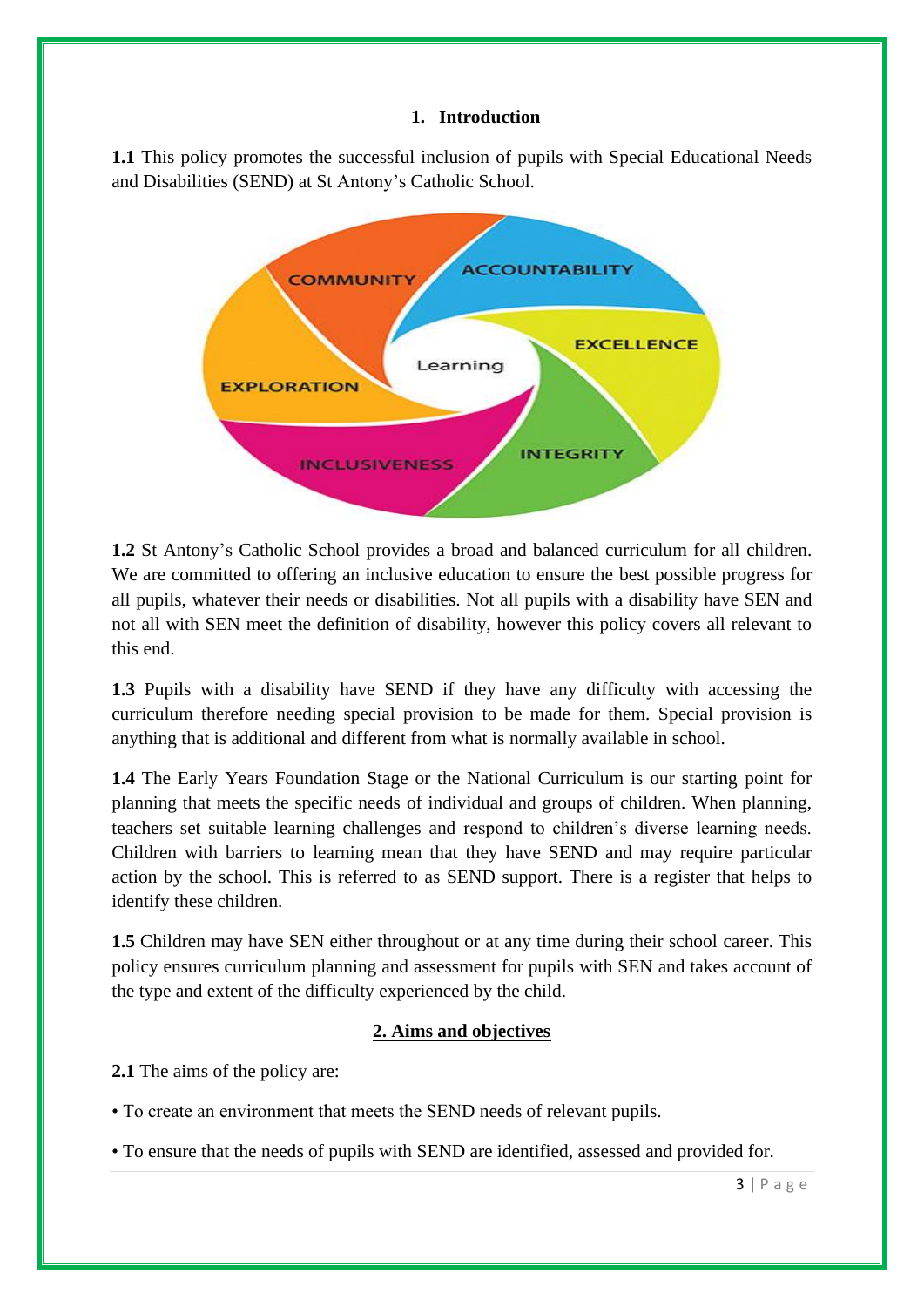#### **1. Introduction**

**1.1** This policy promotes the successful inclusion of pupils with Special Educational Needs and Disabilities (SEND) at St Antony's Catholic School.



**1.2** St Antony's Catholic School provides a broad and balanced curriculum for all children. We are committed to offering an inclusive education to ensure the best possible progress for all pupils, whatever their needs or disabilities. Not all pupils with a disability have SEN and not all with SEN meet the definition of disability, however this policy covers all relevant to this end.

**1.3** Pupils with a disability have SEND if they have any difficulty with accessing the curriculum therefore needing special provision to be made for them. Special provision is anything that is additional and different from what is normally available in school.

**1.4** The Early Years Foundation Stage or the National Curriculum is our starting point for planning that meets the specific needs of individual and groups of children. When planning, teachers set suitable learning challenges and respond to children's diverse learning needs. Children with barriers to learning mean that they have SEND and may require particular action by the school. This is referred to as SEND support. There is a register that helps to identify these children.

**1.5** Children may have SEN either throughout or at any time during their school career. This policy ensures curriculum planning and assessment for pupils with SEN and takes account of the type and extent of the difficulty experienced by the child.

#### **2. Aims and objectives**

**2.1** The aims of the policy are:

• To create an environment that meets the SEND needs of relevant pupils.

• To ensure that the needs of pupils with SEND are identified, assessed and provided for.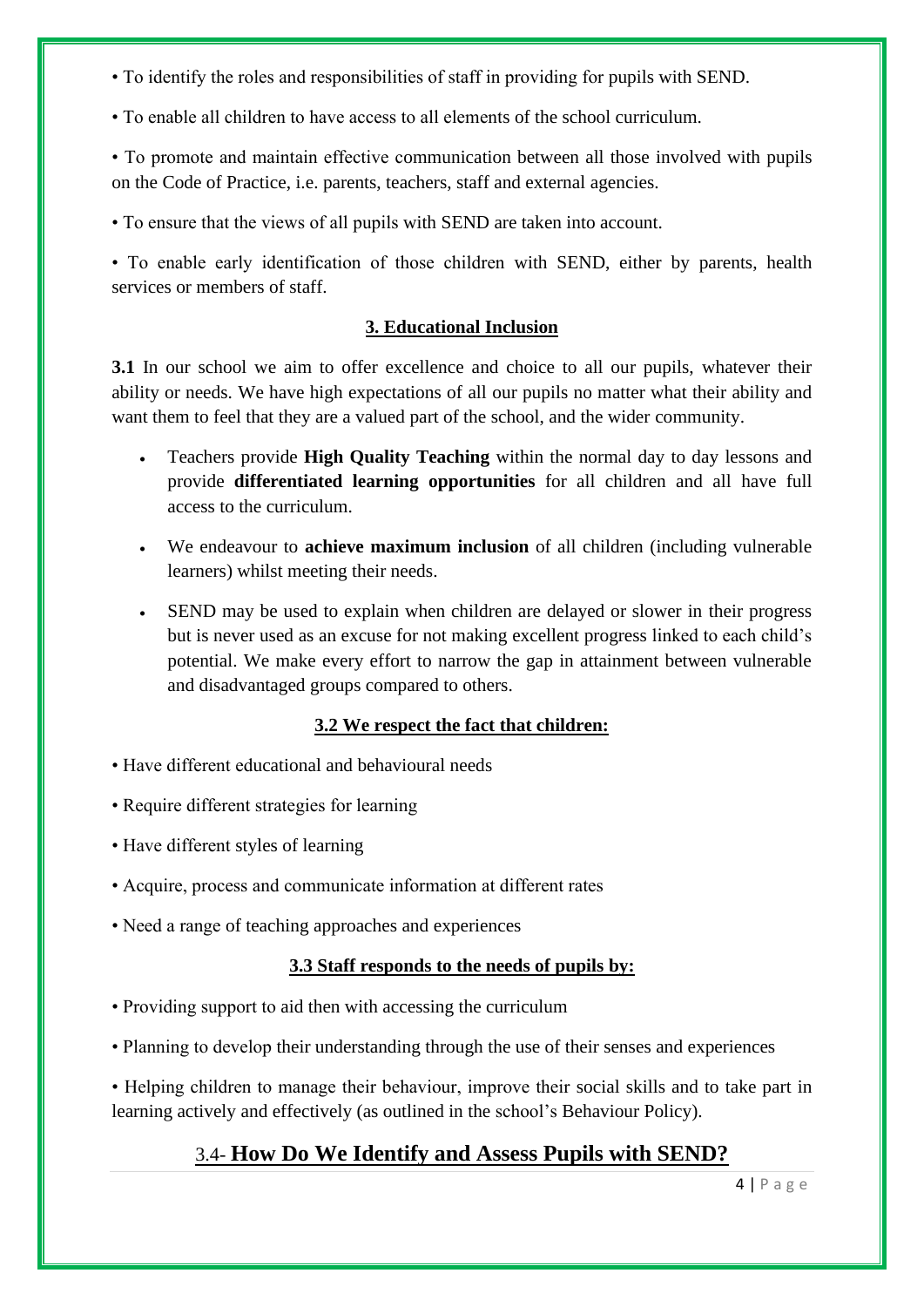- To identify the roles and responsibilities of staff in providing for pupils with SEND.
- To enable all children to have access to all elements of the school curriculum.

• To promote and maintain effective communication between all those involved with pupils on the Code of Practice, i.e. parents, teachers, staff and external agencies.

• To ensure that the views of all pupils with SEND are taken into account.

• To enable early identification of those children with SEND, either by parents, health services or members of staff.

#### **3. Educational Inclusion**

**3.1** In our school we aim to offer excellence and choice to all our pupils, whatever their ability or needs. We have high expectations of all our pupils no matter what their ability and want them to feel that they are a valued part of the school, and the wider community.

- Teachers provide **High Quality Teaching** within the normal day to day lessons and provide **differentiated learning opportunities** for all children and all have full access to the curriculum.
- We endeavour to **achieve maximum inclusion** of all children (including vulnerable learners) whilst meeting their needs.
- SEND may be used to explain when children are delayed or slower in their progress but is never used as an excuse for not making excellent progress linked to each child's potential. We make every effort to narrow the gap in attainment between vulnerable and disadvantaged groups compared to others.

#### **3.2 We respect the fact that children:**

- Have different educational and behavioural needs
- Require different strategies for learning
- Have different styles of learning
- Acquire, process and communicate information at different rates
- Need a range of teaching approaches and experiences

#### **3.3 Staff responds to the needs of pupils by:**

- Providing support to aid then with accessing the curriculum
- Planning to develop their understanding through the use of their senses and experiences

• Helping children to manage their behaviour, improve their social skills and to take part in learning actively and effectively (as outlined in the school's Behaviour Policy).

## 3.4- **How Do We Identify and Assess Pupils with SEND?**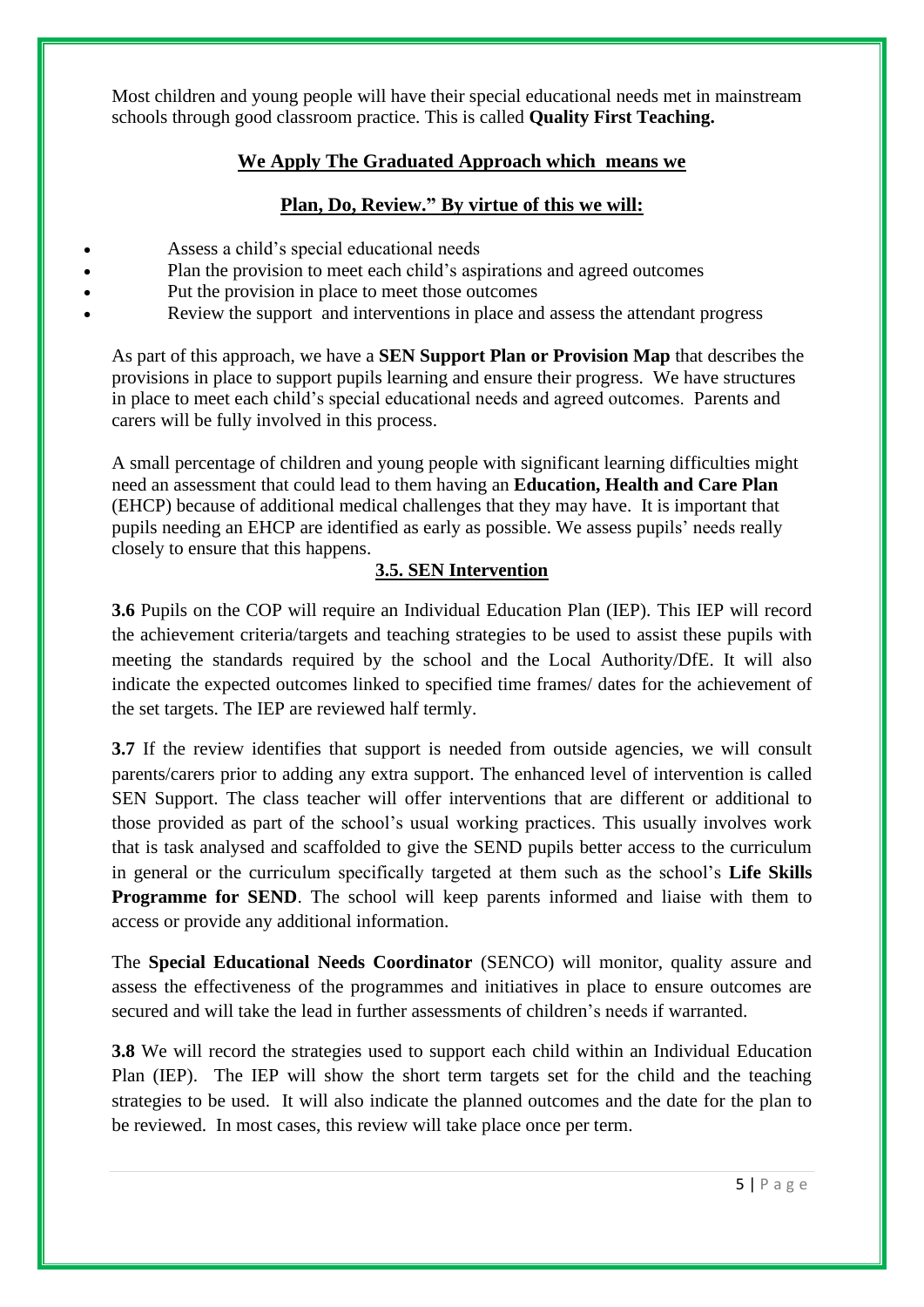Most children and young people will have their special educational needs met in mainstream schools through good classroom practice. This is called **Quality First Teaching.** 

#### **We Apply The Graduated Approach which means we**

## **Plan, Do, Review." By virtue of this we will:**

- Assess a child's special educational needs
	- Plan the provision to meet each child's aspirations and agreed outcomes
- Put the provision in place to meet those outcomes
- Review the support and interventions in place and assess the attendant progress

As part of this approach, we have a **SEN Support Plan or Provision Map** that describes the provisions in place to support pupils learning and ensure their progress. We have structures in place to meet each child's special educational needs and agreed outcomes. Parents and carers will be fully involved in this process.

A small percentage of children and young people with significant learning difficulties might need an assessment that could lead to them having an **Education, Health and Care Plan** (EHCP) because of additional medical challenges that they may have. It is important that pupils needing an EHCP are identified as early as possible. We assess pupils' needs really closely to ensure that this happens.

## **3.5. SEN Intervention**

**3.6** Pupils on the COP will require an Individual Education Plan (IEP). This IEP will record the achievement criteria/targets and teaching strategies to be used to assist these pupils with meeting the standards required by the school and the Local Authority/DfE. It will also indicate the expected outcomes linked to specified time frames/ dates for the achievement of the set targets. The IEP are reviewed half termly.

**3.7** If the review identifies that support is needed from outside agencies, we will consult parents/carers prior to adding any extra support. The enhanced level of intervention is called SEN Support. The class teacher will offer interventions that are different or additional to those provided as part of the school's usual working practices. This usually involves work that is task analysed and scaffolded to give the SEND pupils better access to the curriculum in general or the curriculum specifically targeted at them such as the school's **Life Skills Programme for SEND.** The school will keep parents informed and liaise with them to access or provide any additional information.

The **Special Educational Needs Coordinator** (SENCO) will monitor, quality assure and assess the effectiveness of the programmes and initiatives in place to ensure outcomes are secured and will take the lead in further assessments of children's needs if warranted.

**3.8** We will record the strategies used to support each child within an Individual Education Plan (IEP). The IEP will show the short term targets set for the child and the teaching strategies to be used. It will also indicate the planned outcomes and the date for the plan to be reviewed. In most cases, this review will take place once per term.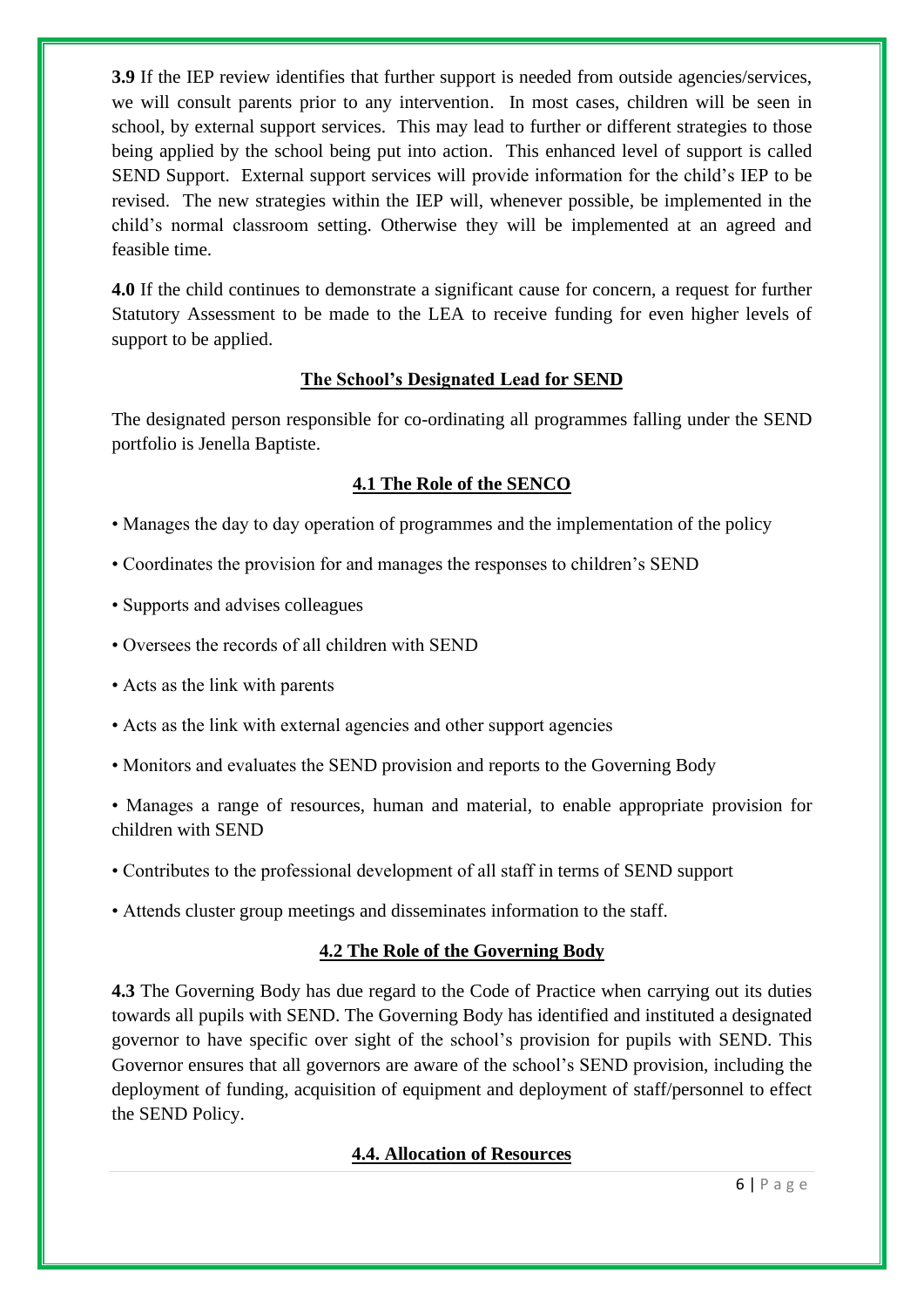**3.9** If the IEP review identifies that further support is needed from outside agencies/services, we will consult parents prior to any intervention. In most cases, children will be seen in school, by external support services. This may lead to further or different strategies to those being applied by the school being put into action. This enhanced level of support is called SEND Support. External support services will provide information for the child's IEP to be revised. The new strategies within the IEP will, whenever possible, be implemented in the child's normal classroom setting. Otherwise they will be implemented at an agreed and feasible time.

**4.0** If the child continues to demonstrate a significant cause for concern, a request for further Statutory Assessment to be made to the LEA to receive funding for even higher levels of support to be applied.

## **The School's Designated Lead for SEND**

The designated person responsible for co-ordinating all programmes falling under the SEND portfolio is Jenella Baptiste.

## **4.1 The Role of the SENCO**

- Manages the day to day operation of programmes and the implementation of the policy
- Coordinates the provision for and manages the responses to children's SEND
- Supports and advises colleagues
- Oversees the records of all children with SEND
- Acts as the link with parents
- Acts as the link with external agencies and other support agencies
- Monitors and evaluates the SEND provision and reports to the Governing Body

• Manages a range of resources, human and material, to enable appropriate provision for children with SEND

- Contributes to the professional development of all staff in terms of SEND support
- Attends cluster group meetings and disseminates information to the staff.

#### **4.2 The Role of the Governing Body**

**4.3** The Governing Body has due regard to the Code of Practice when carrying out its duties towards all pupils with SEND. The Governing Body has identified and instituted a designated governor to have specific over sight of the school's provision for pupils with SEND. This Governor ensures that all governors are aware of the school's SEND provision, including the deployment of funding, acquisition of equipment and deployment of staff/personnel to effect the SEND Policy.

#### **4.4. Allocation of Resources**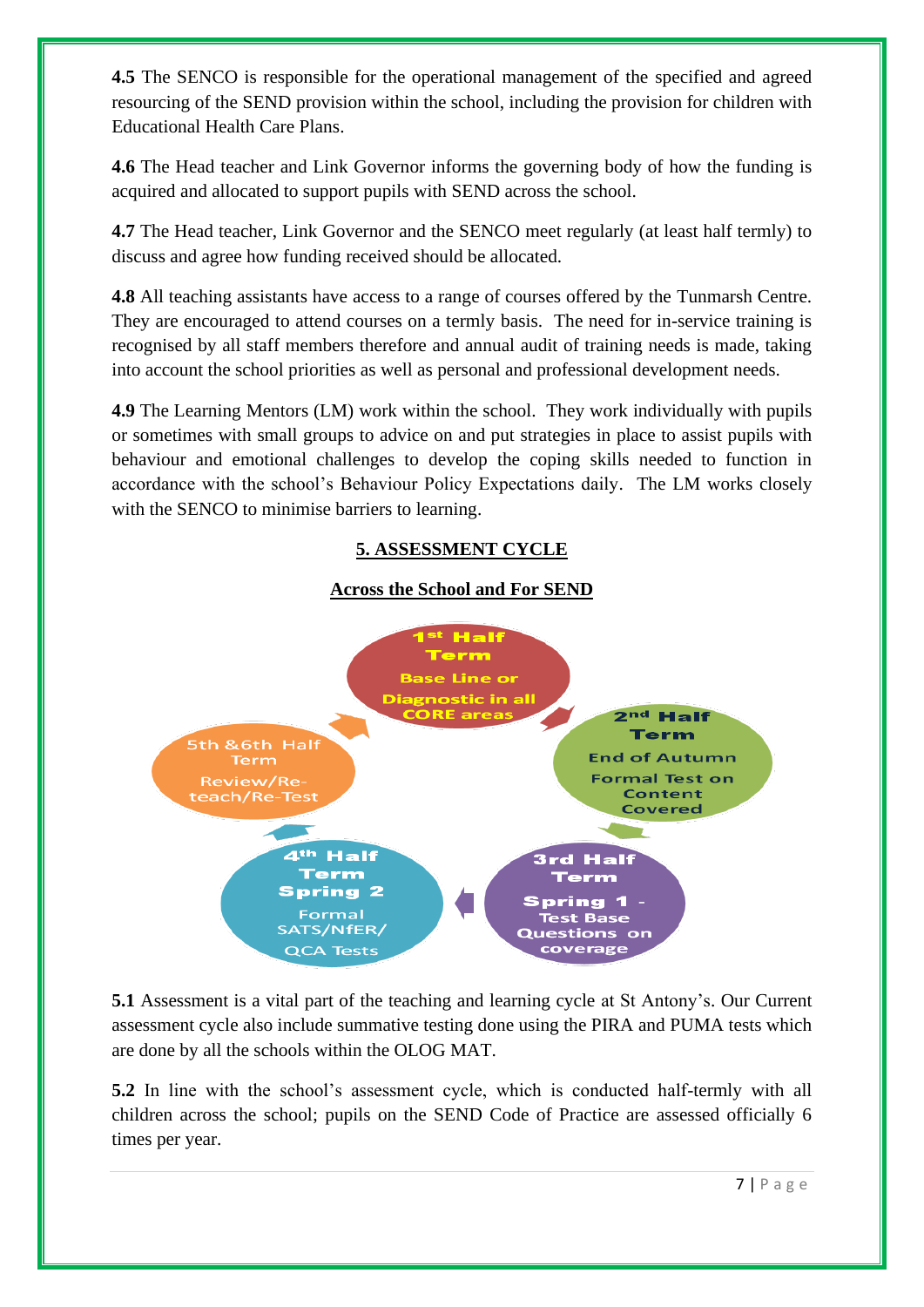**4.5** The SENCO is responsible for the operational management of the specified and agreed resourcing of the SEND provision within the school, including the provision for children with Educational Health Care Plans.

**4.6** The Head teacher and Link Governor informs the governing body of how the funding is acquired and allocated to support pupils with SEND across the school.

**4.7** The Head teacher, Link Governor and the SENCO meet regularly (at least half termly) to discuss and agree how funding received should be allocated.

**4.8** All teaching assistants have access to a range of courses offered by the Tunmarsh Centre. They are encouraged to attend courses on a termly basis. The need for in-service training is recognised by all staff members therefore and annual audit of training needs is made, taking into account the school priorities as well as personal and professional development needs.

**4.9** The Learning Mentors (LM) work within the school. They work individually with pupils or sometimes with small groups to advice on and put strategies in place to assist pupils with behaviour and emotional challenges to develop the coping skills needed to function in accordance with the school's Behaviour Policy Expectations daily. The LM works closely with the SENCO to minimise barriers to learning.

## **5. ASSESSMENT CYCLE**

#### **Across the School and For SEND**



**5.1** Assessment is a vital part of the teaching and learning cycle at St Antony's. Our Current assessment cycle also include summative testing done using the PIRA and PUMA tests which are done by all the schools within the OLOG MAT.

**5.2** In line with the school's assessment cycle, which is conducted half-termly with all children across the school; pupils on the SEND Code of Practice are assessed officially 6 times per year.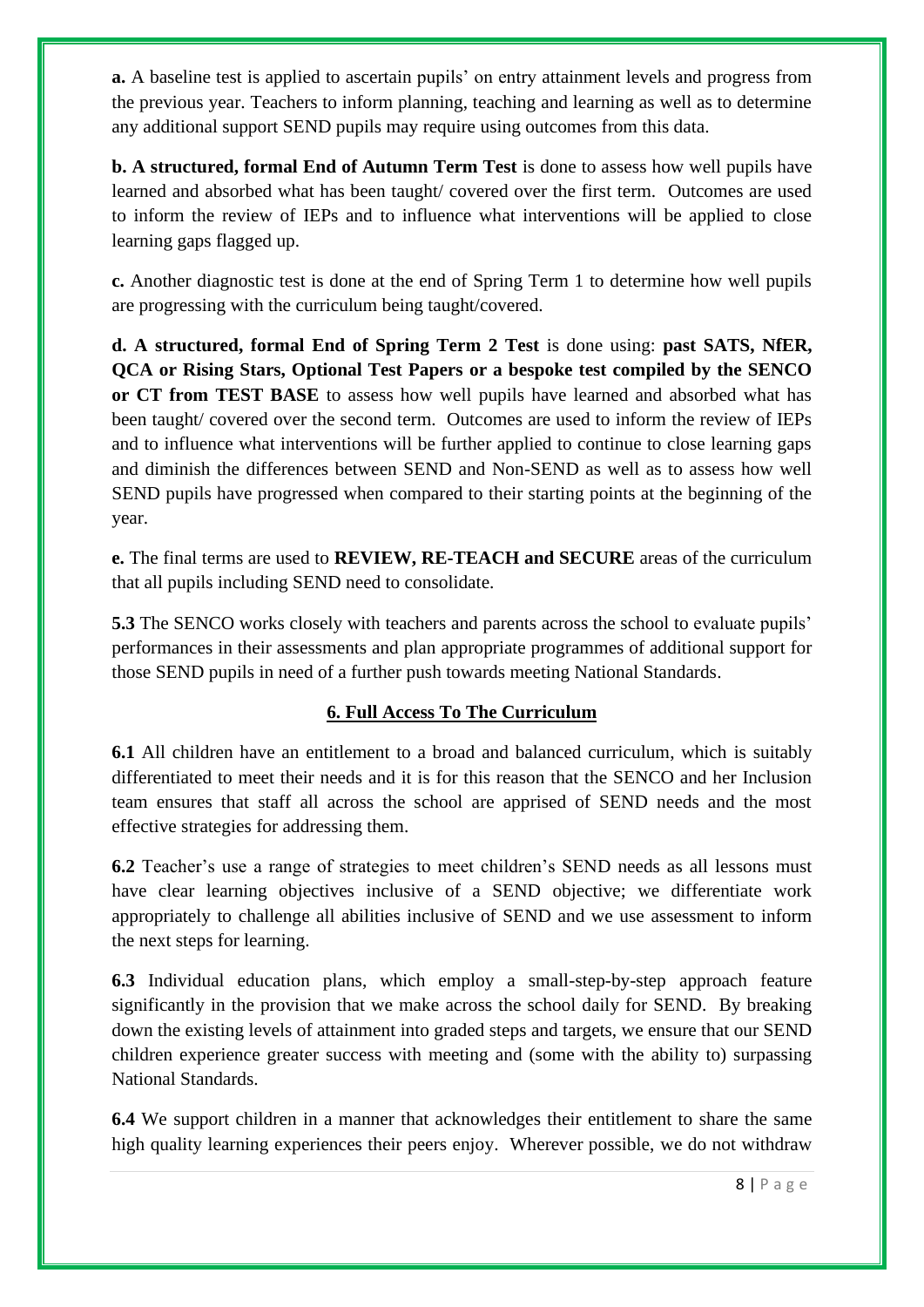**a.** A baseline test is applied to ascertain pupils' on entry attainment levels and progress from the previous year. Teachers to inform planning, teaching and learning as well as to determine any additional support SEND pupils may require using outcomes from this data.

**b. A structured, formal End of Autumn Term Test** is done to assess how well pupils have learned and absorbed what has been taught/ covered over the first term. Outcomes are used to inform the review of IEPs and to influence what interventions will be applied to close learning gaps flagged up.

**c.** Another diagnostic test is done at the end of Spring Term 1 to determine how well pupils are progressing with the curriculum being taught/covered.

**d. A structured, formal End of Spring Term 2 Test** is done using: **past SATS, NfER, QCA or Rising Stars, Optional Test Papers or a bespoke test compiled by the SENCO or CT from TEST BASE** to assess how well pupils have learned and absorbed what has been taught/ covered over the second term. Outcomes are used to inform the review of IEPs and to influence what interventions will be further applied to continue to close learning gaps and diminish the differences between SEND and Non-SEND as well as to assess how well SEND pupils have progressed when compared to their starting points at the beginning of the year.

**e.** The final terms are used to **REVIEW, RE-TEACH and SECURE** areas of the curriculum that all pupils including SEND need to consolidate.

**5.3** The SENCO works closely with teachers and parents across the school to evaluate pupils' performances in their assessments and plan appropriate programmes of additional support for those SEND pupils in need of a further push towards meeting National Standards.

## **6. Full Access To The Curriculum**

**6.1** All children have an entitlement to a broad and balanced curriculum, which is suitably differentiated to meet their needs and it is for this reason that the SENCO and her Inclusion team ensures that staff all across the school are apprised of SEND needs and the most effective strategies for addressing them.

**6.2** Teacher's use a range of strategies to meet children's SEND needs as all lessons must have clear learning objectives inclusive of a SEND objective; we differentiate work appropriately to challenge all abilities inclusive of SEND and we use assessment to inform the next steps for learning.

**6.3** Individual education plans, which employ a small-step-by-step approach feature significantly in the provision that we make across the school daily for SEND. By breaking down the existing levels of attainment into graded steps and targets, we ensure that our SEND children experience greater success with meeting and (some with the ability to) surpassing National Standards.

**6.4** We support children in a manner that acknowledges their entitlement to share the same high quality learning experiences their peers enjoy. Wherever possible, we do not withdraw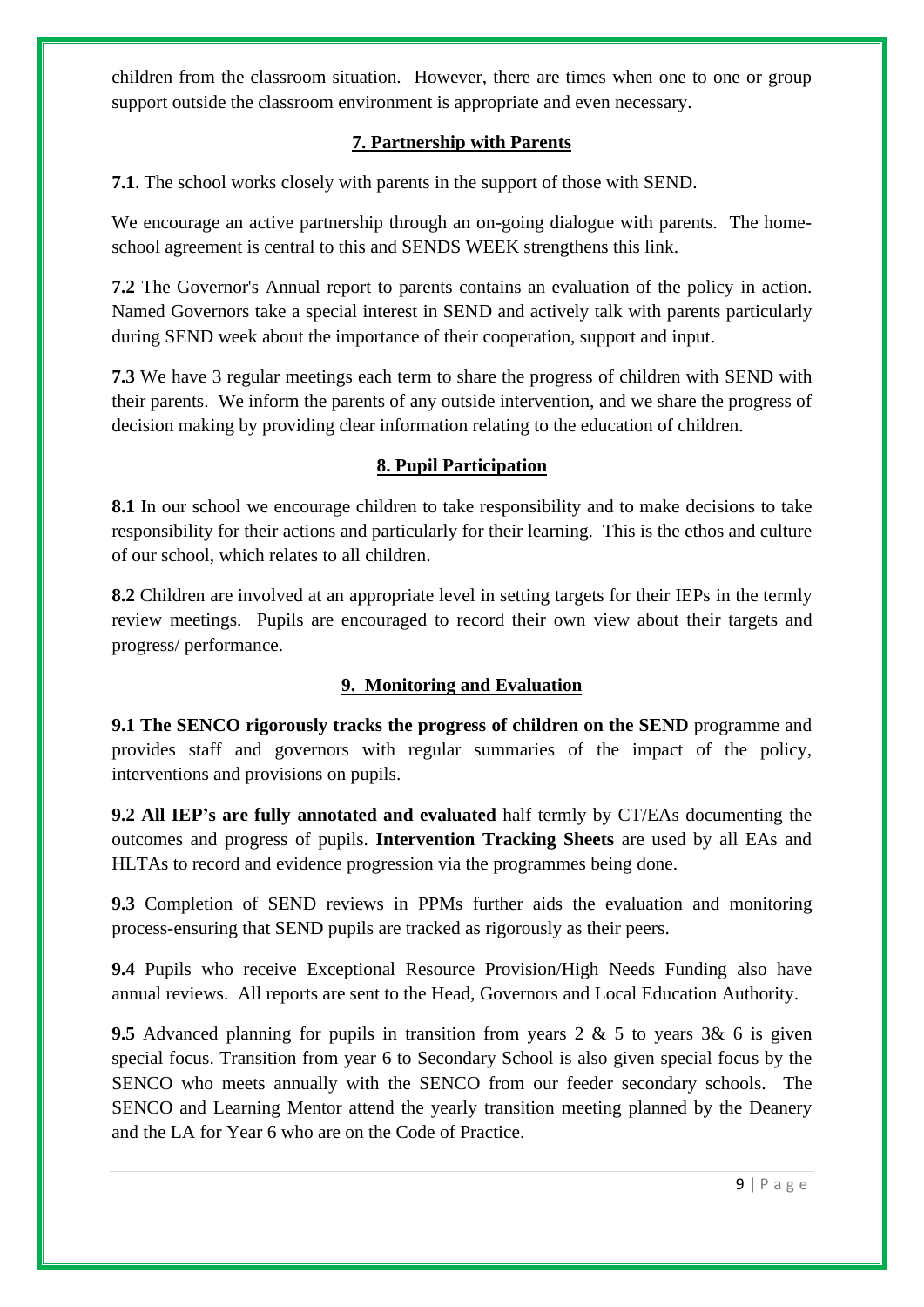children from the classroom situation. However, there are times when one to one or group support outside the classroom environment is appropriate and even necessary.

## **7. Partnership with Parents**

**7.1**. The school works closely with parents in the support of those with SEND.

We encourage an active partnership through an on-going dialogue with parents. The homeschool agreement is central to this and SENDS WEEK strengthens this link.

**7.2** The Governor's Annual report to parents contains an evaluation of the policy in action. Named Governors take a special interest in SEND and actively talk with parents particularly during SEND week about the importance of their cooperation, support and input.

**7.3** We have 3 regular meetings each term to share the progress of children with SEND with their parents. We inform the parents of any outside intervention, and we share the progress of decision making by providing clear information relating to the education of children.

#### **8. Pupil Participation**

**8.1** In our school we encourage children to take responsibility and to make decisions to take responsibility for their actions and particularly for their learning. This is the ethos and culture of our school, which relates to all children.

**8.2** Children are involved at an appropriate level in setting targets for their IEPs in the termly review meetings. Pupils are encouraged to record their own view about their targets and progress/ performance.

#### **9. Monitoring and Evaluation**

**9.1 The SENCO rigorously tracks the progress of children on the SEND** programme and provides staff and governors with regular summaries of the impact of the policy, interventions and provisions on pupils.

**9.2 All IEP's are fully annotated and evaluated** half termly by CT/EAs documenting the outcomes and progress of pupils. **Intervention Tracking Sheets** are used by all EAs and HLTAs to record and evidence progression via the programmes being done.

**9.3** Completion of SEND reviews in PPMs further aids the evaluation and monitoring process-ensuring that SEND pupils are tracked as rigorously as their peers.

**9.4** Pupils who receive Exceptional Resource Provision/High Needs Funding also have annual reviews. All reports are sent to the Head, Governors and Local Education Authority.

**9.5** Advanced planning for pupils in transition from years 2 & 5 to years 3& 6 is given special focus. Transition from year 6 to Secondary School is also given special focus by the SENCO who meets annually with the SENCO from our feeder secondary schools. The SENCO and Learning Mentor attend the yearly transition meeting planned by the Deanery and the LA for Year 6 who are on the Code of Practice.